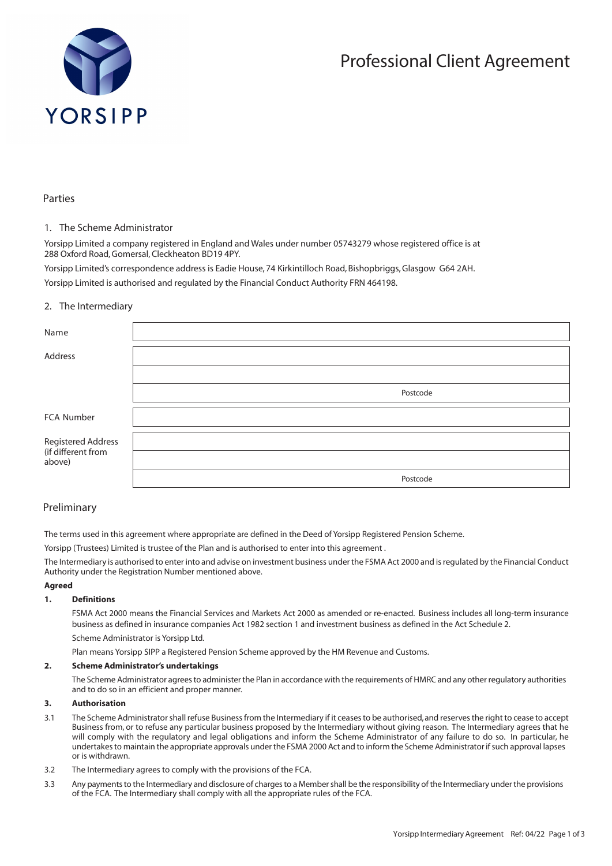

# Professional Client Agreement

# Parties

## 1. The Scheme Administrator

Yorsipp Limited a company registered in England and Wales under number 05743279 whose registered office is at 288 Oxford Road, Gomersal, Cleckheaton BD19 4PY.

Yorsipp Limited's correspondence address is Eadie House, 74 Kirkintilloch Road, Bishopbriggs, Glasgow G64 2AH. Yorsipp Limited is authorised and regulated by the Financial Conduct Authority FRN 464198.

# 2. The Intermediary

| Name                                     |          |
|------------------------------------------|----------|
| Address                                  |          |
|                                          |          |
|                                          | Postcode |
| FCA Number                               |          |
| Registered Address<br>(if different from |          |
| above)                                   |          |
|                                          | Postcode |

# Preliminary

The terms used in this agreement where appropriate are defined in the Deed of Yorsipp Registered Pension Scheme.

Yorsipp (Trustees) Limited is trustee of the Plan and is authorised to enter into this agreement .

The Intermediary is authorised to enter into and advise on investment business under the FSMA Act 2000 and is regulated by the Financial Conduct Authority under the Registration Number mentioned above.

#### **Agreed**

#### **1. Definitions**

FSMA Act 2000 means the Financial Services and Markets Act 2000 as amended or re-enacted. Business includes all long-term insurance business as defined in insurance companies Act 1982 section 1 and investment business as defined in the Act Schedule 2.

Scheme Administrator is Yorsipp Ltd.

Plan means Yorsipp SIPP a Registered Pension Scheme approved by the HM Revenue and Customs.

#### **2. Scheme Administrator's undertakings**

The Scheme Administrator agrees to administer the Plan in accordance with the requirements of HMRC and any other regulatory authorities and to do so in an efficient and proper manner.

## **3. Authorisation**

- 3.1 The Scheme Administrator shall refuse Business from the Intermediary if it ceases to be authorised, and reserves the right to cease to accept Business from, or to refuse any particular business proposed by the Intermediary without giving reason. The Intermediary agrees that he will comply with the regulatory and legal obligations and inform the Scheme Administrator of any failure to do so. In particular, he undertakes to maintain the appropriate approvals under the FSMA 2000 Act and to inform the Scheme Administrator if such approval lapses or is withdrawn.
- 3.2 The Intermediary agrees to comply with the provisions of the FCA.
- 3.3 Any payments to the Intermediary and disclosure of charges to a Member shall be the responsibility of the Intermediary under the provisions of the FCA. The Intermediary shall comply with all the appropriate rules of the FCA.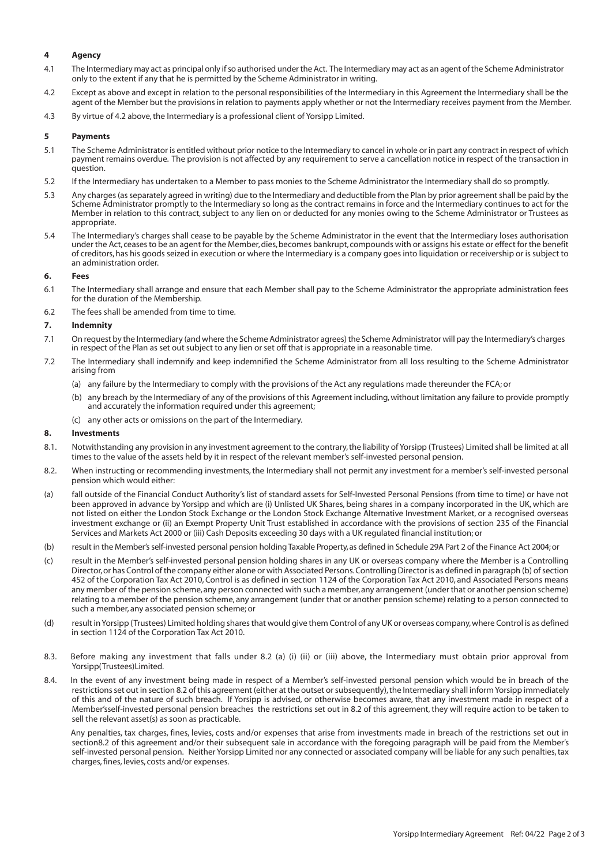## **4 Agency**

- 4.1 The Intermediary may act as principal only if so authorised under the Act. The Intermediary may act as an agent of the Scheme Administrator only to the extent if any that he is permitted by the Scheme Administrator in writing.
- 4.2 Except as above and except in relation to the personal responsibilities of the Intermediary in this Agreement the Intermediary shall be the agent of the Member but the provisions in relation to payments apply whether or not the Intermediary receives payment from the Member.
- 4.3 By virtue of 4.2 above, the Intermediary is a professional client of Yorsipp Limited.

## **5 Payments**

- 5.1 The Scheme Administrator is entitled without prior notice to the Intermediary to cancel in whole or in part any contract in respect of which payment remains overdue. The provision is not affected by any requirement to serve a cancellation notice in respect of the transaction in question.
- 5.2 If the Intermediary has undertaken to a Member to pass monies to the Scheme Administrator the Intermediary shall do so promptly.
- 5.3 Any charges (as separately agreed in writing) due to the Intermediary and deductible from the Plan by prior agreement shall be paid by the Scheme Administrator promptly to the Intermediary so long as the contract remains in force and the Intermediary continues to act for the Member in relation to this contract, subject to any lien on or deducted for any monies owing to the Scheme Administrator or Trustees as appropriate.
- 5.4 The Intermediary's charges shall cease to be payable by the Scheme Administrator in the event that the Intermediary loses authorisation under the Act, ceases to be an agent for the Member, dies, becomes bankrupt, compounds with or assigns his estate or effect for the benefit of creditors, has his goods seized in execution or where the Intermediary is a company goes into liquidation or receivership or is subject to an administration order.

## **6. Fees**

- 6.1 The Intermediary shall arrange and ensure that each Member shall pay to the Scheme Administrator the appropriate administration fees for the duration of the Membership.
- 6.2 The fees shall be amended from time to time.

## **7. Indemnity**

- 7.1 On request by the Intermediary (and where the Scheme Administrator agrees) the Scheme Administrator will pay the Intermediary's charges in respect of the Plan as set out subject to any lien or set off that is appropriate in a reasonable time.
- 7.2 The Intermediary shall indemnify and keep indemnified the Scheme Administrator from all loss resulting to the Scheme Administrator arising from
	- (a) any failure by the Intermediary to comply with the provisions of the Act any regulations made thereunder the FCA; or
	- (b) any breach by the Intermediary of any of the provisions of this Agreement including, without limitation any failure to provide promptly and accurately the information required under this agreement;
	- (c) any other acts or omissions on the part of the Intermediary.

# **8. Investments**

- 8.1. Notwithstanding any provision in any investment agreement to the contrary, the liability of Yorsipp (Trustees) Limited shall be limited at all times to the value of the assets held by it in respect of the relevant member's self-invested personal pension.
- 8.2. When instructing or recommending investments, the Intermediary shall not permit any investment for a member's self-invested personal pension which would either:
- (a) fall outside of the Financial Conduct Authority's list of standard assets for Self-Invested Personal Pensions (from time to time) or have not been approved in advance by Yorsipp and which are (i) Unlisted UK Shares, being shares in a company incorporated in the UK, which are not listed on either the London Stock Exchange or the London Stock Exchange Alternative Investment Market, or a recognised overseas investment exchange or (ii) an Exempt Property Unit Trust established in accordance with the provisions of section 235 of the Financial Services and Markets Act 2000 or (iii) Cash Deposits exceeding 30 days with a UK regulated financial institution; or
- (b) result in the Member's self-invested personal pension holding Taxable Property, as defined in Schedule 29A Part 2 of the Finance Act 2004; or
- (c) result in the Member's self-invested personal pension holding shares in any UK or overseas company where the Member is a Controlling Director, or has Control of the company either alone or with Associated Persons. Controlling Director is as defined in paragraph (b) of section 452 of the Corporation Tax Act 2010, Control is as defined in section 1124 of the Corporation Tax Act 2010, and Associated Persons means any member of the pension scheme, any person connected with such a member, any arrangement (under that or another pension scheme) relating to a member of the pension scheme, any arrangement (under that or another pension scheme) relating to a person connected to such a member, any associated pension scheme; or
- (d) result in Yorsipp (Trustees) Limited holding shares that would give them Control of any UK or overseas company, where Control is as defined in section 1124 of the Corporation Tax Act 2010.
- 8.3. Before making any investment that falls under 8.2 (a) (i) (ii) or (iii) above, the Intermediary must obtain prior approval from Yorsipp(Trustees)Limited.
- 8.4. In the event of any investment being made in respect of a Member's self-invested personal pension which would be in breach of the restrictions set out in section 8.2 of this agreement (either at the outset or subsequently), the Intermediary shall inform Yorsipp immediately of this and of the nature of such breach. If Yorsipp is advised, or otherwise becomes aware, that any investment made in respect of a Member'sself-invested personal pension breaches the restrictions set out in 8.2 of this agreement, they will require action to be taken to sell the relevant asset(s) as soon as practicable.

Any penalties, tax charges, fines, levies, costs and/or expenses that arise from investments made in breach of the restrictions set out in section8.2 of this agreement and/or their subsequent sale in accordance with the foregoing paragraph will be paid from the Member's self-invested personal pension. Neither Yorsipp Limited nor any connected or associated company will be liable for any such penalties, tax charges, fines, levies, costs and/or expenses.